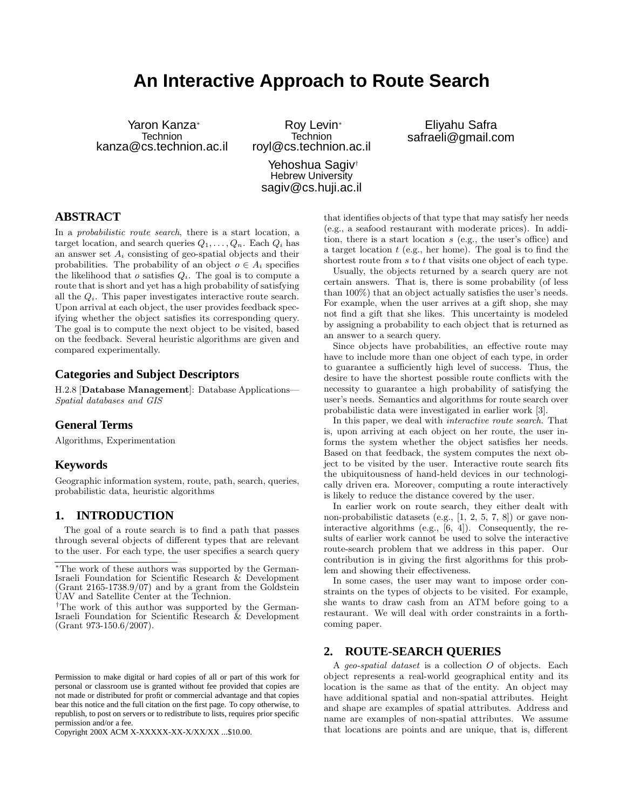# **An Interactive Approach to Route Search**

Yaron Kanza<sup>∗</sup> **Technion** kanza@cs.technion.ac.il

Roy Levin<sup>∗</sup> **Technion** royl@cs.technion.ac.il

Eliyahu Safra safraeli@gmail.com

Yehoshua Sagiv† Hebrew University sagiv@cs.huji.ac.il

## **ABSTRACT**

In a probabilistic route search, there is a start location, a target location, and search queries  $Q_1, \ldots, Q_n$ . Each  $Q_i$  has an answer set  $A_i$  consisting of geo-spatial objects and their probabilities. The probability of an object  $o \in A_i$  specifies the likelihood that  $o$  satisfies  $Q_i$ . The goal is to compute a route that is short and yet has a high probability of satisfying all the  $Q_i$ . This paper investigates interactive route search. Upon arrival at each object, the user provides feedback specifying whether the object satisfies its corresponding query. The goal is to compute the next object to be visited, based on the feedback. Several heuristic algorithms are given and compared experimentally.

## **Categories and Subject Descriptors**

H.2.8 [Database Management]: Database Applications— Spatial databases and GIS

## **General Terms**

Algorithms, Experimentation

## **Keywords**

Geographic information system, route, path, search, queries, probabilistic data, heuristic algorithms

## **1. INTRODUCTION**

The goal of a route search is to find a path that passes through several objects of different types that are relevant to the user. For each type, the user specifies a search query

Copyright 200X ACM X-XXXXX-XX-X/XX/XX ...\$10.00.

that identifies objects of that type that may satisfy her needs (e.g., a seafood restaurant with moderate prices). In addition, there is a start location s (e.g., the user's office) and a target location  $t$  (e.g., her home). The goal is to find the shortest route from s to t that visits one object of each type.

Usually, the objects returned by a search query are not certain answers. That is, there is some probability (of less than 100%) that an object actually satisfies the user's needs. For example, when the user arrives at a gift shop, she may not find a gift that she likes. This uncertainty is modeled by assigning a probability to each object that is returned as an answer to a search query.

Since objects have probabilities, an effective route may have to include more than one object of each type, in order to guarantee a sufficiently high level of success. Thus, the desire to have the shortest possible route conflicts with the necessity to guarantee a high probability of satisfying the user's needs. Semantics and algorithms for route search over probabilistic data were investigated in earlier work [3].

In this paper, we deal with interactive route search. That is, upon arriving at each object on her route, the user informs the system whether the object satisfies her needs. Based on that feedback, the system computes the next object to be visited by the user. Interactive route search fits the ubiquitousness of hand-held devices in our technologically driven era. Moreover, computing a route interactively is likely to reduce the distance covered by the user.

In earlier work on route search, they either dealt with non-probabilistic datasets (e.g., [1, 2, 5, 7, 8]) or gave noninteractive algorithms (e.g., [6, 4]). Consequently, the results of earlier work cannot be used to solve the interactive route-search problem that we address in this paper. Our contribution is in giving the first algorithms for this problem and showing their effectiveness.

In some cases, the user may want to impose order constraints on the types of objects to be visited. For example, she wants to draw cash from an ATM before going to a restaurant. We will deal with order constraints in a forthcoming paper.

## **2. ROUTE-SEARCH QUERIES**

A geo-spatial dataset is a collection O of objects. Each object represents a real-world geographical entity and its location is the same as that of the entity. An object may have additional spatial and non-spatial attributes. Height and shape are examples of spatial attributes. Address and name are examples of non-spatial attributes. We assume that locations are points and are unique, that is, different

<sup>∗</sup>The work of these authors was supported by the German-Israeli Foundation for Scientific Research & Development (Grant 2165-1738.9/07) and by a grant from the Goldstein UAV and Satellite Center at the Technion.

<sup>†</sup>The work of this author was supported by the German-Israeli Foundation for Scientific Research & Development (Grant 973-150.6/2007).

Permission to make digital or hard copies of all or part of this work for personal or classroom use is granted without fee provided that copies are not made or distributed for profit or commercial advantage and that copies bear this notice and the full citation on the first page. To copy otherwise, to republish, to post on servers or to redistribute to lists, requires prior specific permission and/or a fee.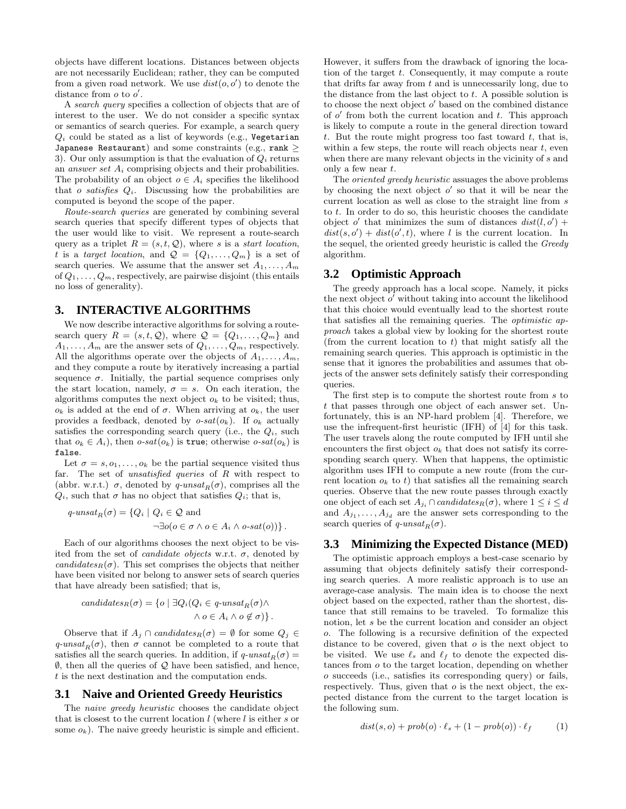objects have different locations. Distances between objects are not necessarily Euclidean; rather, they can be computed from a given road network. We use  $dist(o, o')$  to denote the distance from  $o$  to  $o'$ .

A search query specifies a collection of objects that are of interest to the user. We do not consider a specific syntax or semantics of search queries. For example, a search query  $Q_i$  could be stated as a list of keywords (e.g., Vegetarian Japanese Restaurant) and some constraints (e.g., rank  $\geq$ 3). Our only assumption is that the evaluation of  $Q_i$  returns an *answer set*  $A_i$  comprising objects and their probabilities. The probability of an object  $o \in A_i$  specifies the likelihood that  $o$  satisfies  $Q_i$ . Discussing how the probabilities are computed is beyond the scope of the paper.

Route-search queries are generated by combining several search queries that specify different types of objects that the user would like to visit. We represent a route-search query as a triplet  $R = (s, t, Q)$ , where s is a start location, t is a target location, and  $\mathcal{Q} = \{Q_1, \ldots, Q_m\}$  is a set of search queries. We assume that the answer set  $A_1, \ldots, A_m$ of  $Q_1, \ldots, Q_m$ , respectively, are pairwise disjoint (this entails no loss of generality).

## **3. INTERACTIVE ALGORITHMS**

We now describe interactive algorithms for solving a routesearch query  $R = (s, t, Q)$ , where  $Q = \{Q_1, \ldots, Q_m\}$  and  $A_1, \ldots, A_m$  are the answer sets of  $Q_1, \ldots, Q_m$ , respectively. All the algorithms operate over the objects of  $A_1, \ldots, A_m$ , and they compute a route by iteratively increasing a partial sequence  $\sigma$ . Initially, the partial sequence comprises only the start location, namely,  $\sigma = s$ . On each iteration, the algorithms computes the next object  $o_k$  to be visited; thus,  $o_k$  is added at the end of  $\sigma$ . When arriving at  $o_k$ , the user provides a feedback, denoted by  $o-sat(o_k)$ . If  $o_k$  actually satisfies the corresponding search query (i.e., the  $Q_i$ , such that  $o_k \in A_i$ , then  $o\text{-}sat(o_k)$  is true; otherwise  $o\text{-}sat(o_k)$  is false.

Let  $\sigma = s, o_1, \ldots, o_k$  be the partial sequence visited thus far. The set of *unsatisfied queries* of  $R$  with respect to (abbr. w.r.t.)  $\sigma$ , denoted by q-unsat<sub>R</sub>( $\sigma$ ), comprises all the  $Q_i$ , such that  $\sigma$  has no object that satisfies  $Q_i$ ; that is,

$$
q\text{-}unsat_R(\sigma) = \{Q_i \mid Q_i \in \mathcal{Q} \text{ and}
$$

$$
\neg \exists o(o \in \sigma \land o \in A_i \land o\text{-}sat(o))\}.
$$

Each of our algorithms chooses the next object to be visited from the set of *candidate objects* w.r.t.  $\sigma$ , denoted by candidates<sub>R</sub> $(\sigma)$ . This set comprises the objects that neither have been visited nor belong to answer sets of search queries that have already been satisfied; that is,

$$
candidates_R(\sigma) = \{o \mid \exists Q_i(Q_i \in q\text{-}unsat_R(\sigma) \land \land o \in A_i \land o \notin \sigma)\}.
$$

Observe that if  $A_j \cap candidates_R(\sigma) = \emptyset$  for some  $Q_j \in$  $q\text{-}unsat_R(\sigma)$ , then  $\sigma$  cannot be completed to a route that satisfies all the search queries. In addition, if  $q\text{-}unsat_R(\sigma) =$  $\emptyset$ , then all the queries of  $\mathcal Q$  have been satisfied, and hence, t is the next destination and the computation ends.

#### **3.1 Naive and Oriented Greedy Heuristics**

The naive greedy heuristic chooses the candidate object that is closest to the current location  $l$  (where  $l$  is either  $s$  or some  $o_k$ ). The naive greedy heuristic is simple and efficient.

However, it suffers from the drawback of ignoring the location of the target t. Consequently, it may compute a route that drifts far away from  $t$  and is unnecessarily long, due to the distance from the last object to  $t$ . A possible solution is to choose the next object  $o'$  based on the combined distance of  $o'$  from both the current location and  $t$ . This approach is likely to compute a route in the general direction toward t. But the route might progress too fast toward  $t$ , that is, within a few steps, the route will reach objects near  $t$ , even when there are many relevant objects in the vicinity of s and only a few near  $t$ .

The oriented greedy heuristic assuages the above problems by choosing the next object  $o'$  so that it will be near the current location as well as close to the straight line from s to  $t$ . In order to do so, this heuristic chooses the candidate object o' that minimizes the sum of distances  $dist(l, o')$  +  $dist(s, o') + dist(o', t)$ , where l is the current location. In the sequel, the oriented greedy heuristic is called the Greedy algorithm.

## **3.2 Optimistic Approach**

The greedy approach has a local scope. Namely, it picks the next object  $o'$  without taking into account the likelihood that this choice would eventually lead to the shortest route that satisfies all the remaining queries. The optimistic approach takes a global view by looking for the shortest route (from the current location to  $t$ ) that might satisfy all the remaining search queries. This approach is optimistic in the sense that it ignores the probabilities and assumes that objects of the answer sets definitely satisfy their corresponding queries.

The first step is to compute the shortest route from s to t that passes through one object of each answer set. Unfortunately, this is an NP-hard problem [4]. Therefore, we use the infrequent-first heuristic (IFH) of [4] for this task. The user travels along the route computed by IFH until she encounters the first object  $o_k$  that does not satisfy its corresponding search query. When that happens, the optimistic algorithm uses IFH to compute a new route (from the current location  $o_k$  to t) that satisfies all the remaining search queries. Observe that the new route passes through exactly one object of each set  $A_{j_i} \cap candidates_R(\sigma)$ , where  $1 \leq i \leq d$ and  $A_{j_1}, \ldots, A_{j_d}$  are the answer sets corresponding to the search queries of  $q\text{-}unsat_R(\sigma)$ .

## **3.3 Minimizing the Expected Distance (MED)**

The optimistic approach employs a best-case scenario by assuming that objects definitely satisfy their corresponding search queries. A more realistic approach is to use an average-case analysis. The main idea is to choose the next object based on the expected, rather than the shortest, distance that still remains to be traveled. To formalize this notion, let s be the current location and consider an object o. The following is a recursive definition of the expected distance to be covered, given that  $\sigma$  is the next object to be visited. We use  $\ell_s$  and  $\ell_f$  to denote the expected distances from o to the target location, depending on whether o succeeds (i.e., satisfies its corresponding query) or fails, respectively. Thus, given that  $o$  is the next object, the expected distance from the current to the target location is the following sum.

$$
dist(s, o) + prob(o) \cdot \ell_s + (1 - prob(o)) \cdot \ell_f \qquad (1)
$$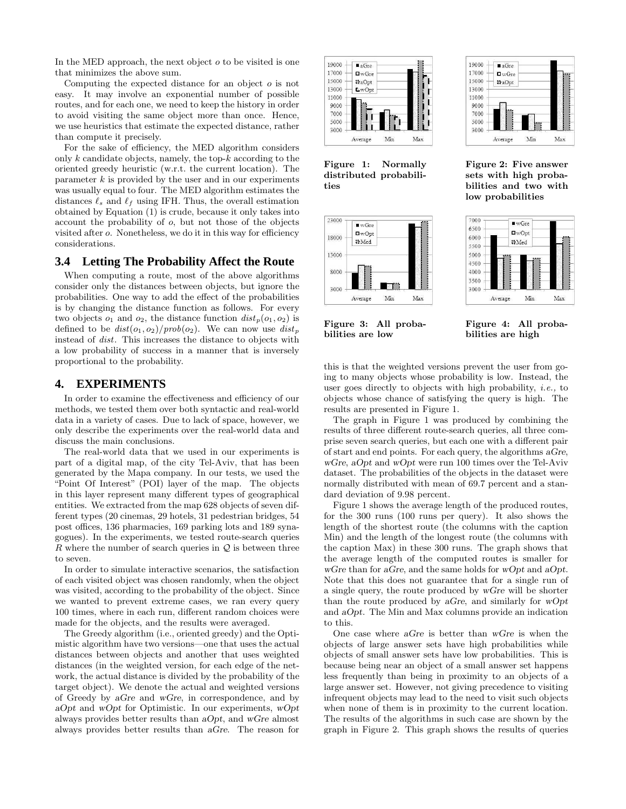In the MED approach, the next object  $\sigma$  to be visited is one that minimizes the above sum.

Computing the expected distance for an object  $\sigma$  is not easy. It may involve an exponential number of possible routes, and for each one, we need to keep the history in order to avoid visiting the same object more than once. Hence, we use heuristics that estimate the expected distance, rather than compute it precisely.

For the sake of efficiency, the MED algorithm considers only  $k$  candidate objects, namely, the top- $k$  according to the oriented greedy heuristic (w.r.t. the current location). The parameter  $k$  is provided by the user and in our experiments was usually equal to four. The MED algorithm estimates the distances  $\ell_s$  and  $\ell_f$  using IFH. Thus, the overall estimation obtained by Equation (1) is crude, because it only takes into account the probability of o, but not those of the objects visited after o. Nonetheless, we do it in this way for efficiency considerations.

#### **3.4 Letting The Probability Affect the Route**

When computing a route, most of the above algorithms consider only the distances between objects, but ignore the probabilities. One way to add the effect of the probabilities is by changing the distance function as follows. For every two objects  $o_1$  and  $o_2$ , the distance function  $dist_p(o_1, o_2)$  is defined to be  $dist(o_1, o_2)/prob(o_2)$ . We can now use  $dist_p$ instead of dist. This increases the distance to objects with a low probability of success in a manner that is inversely proportional to the probability.

## **4. EXPERIMENTS**

In order to examine the effectiveness and efficiency of our methods, we tested them over both syntactic and real-world data in a variety of cases. Due to lack of space, however, we only describe the experiments over the real-world data and discuss the main conclusions.

The real-world data that we used in our experiments is part of a digital map, of the city Tel-Aviv, that has been generated by the Mapa company. In our tests, we used the "Point Of Interest" (POI) layer of the map. The objects in this layer represent many different types of geographical entities. We extracted from the map 628 objects of seven different types (20 cinemas, 29 hotels, 31 pedestrian bridges, 54 post offices, 136 pharmacies, 169 parking lots and 189 synagogues). In the experiments, we tested route-search queries R where the number of search queries in  $\mathcal{Q}$  is between three to seven.

In order to simulate interactive scenarios, the satisfaction of each visited object was chosen randomly, when the object was visited, according to the probability of the object. Since we wanted to prevent extreme cases, we ran every query 100 times, where in each run, different random choices were made for the objects, and the results were averaged.

The Greedy algorithm (i.e., oriented greedy) and the Optimistic algorithm have two versions—one that uses the actual distances between objects and another that uses weighted distances (in the weighted version, for each edge of the network, the actual distance is divided by the probability of the target object). We denote the actual and weighted versions of Greedy by aGre and wGre, in correspondence, and by aOpt and wOpt for Optimistic. In our experiments, wOpt always provides better results than aOpt, and wGre almost always provides better results than aGre. The reason for



Figure 1: Normally distributed probabili-

ties

17000  $\Box$  w $G$ re 15000 #aOpt 13000 11000 9000 7000 5000 3000 Min Max Average

 $\blacksquare$  a Gre

19000

Figure 2: Five answer sets with high probabilities and two with low probabilities





Figure 3: All probabilities are low

Figure 4: All probabilities are high

this is that the weighted versions prevent the user from going to many objects whose probability is low. Instead, the user goes directly to objects with high probability, i.e., to objects whose chance of satisfying the query is high. The results are presented in Figure 1.

The graph in Figure 1 was produced by combining the results of three different route-search queries, all three comprise seven search queries, but each one with a different pair of start and end points. For each query, the algorithms aGre, wGre, aOpt and wOpt were run 100 times over the Tel-Aviv dataset. The probabilities of the objects in the dataset were normally distributed with mean of 69.7 percent and a standard deviation of 9.98 percent.

Figure 1 shows the average length of the produced routes, for the 300 runs (100 runs per query). It also shows the length of the shortest route (the columns with the caption Min) and the length of the longest route (the columns with the caption Max) in these 300 runs. The graph shows that the average length of the computed routes is smaller for wGre than for aGre, and the same holds for wOpt and aOpt. Note that this does not guarantee that for a single run of a single query, the route produced by wGre will be shorter than the route produced by aGre, and similarly for wOpt and aOpt. The Min and Max columns provide an indication to this.

One case where aGre is better than wGre is when the objects of large answer sets have high probabilities while objects of small answer sets have low probabilities. This is because being near an object of a small answer set happens less frequently than being in proximity to an objects of a large answer set. However, not giving precedence to visiting infrequent objects may lead to the need to visit such objects when none of them is in proximity to the current location. The results of the algorithms in such case are shown by the graph in Figure 2. This graph shows the results of queries